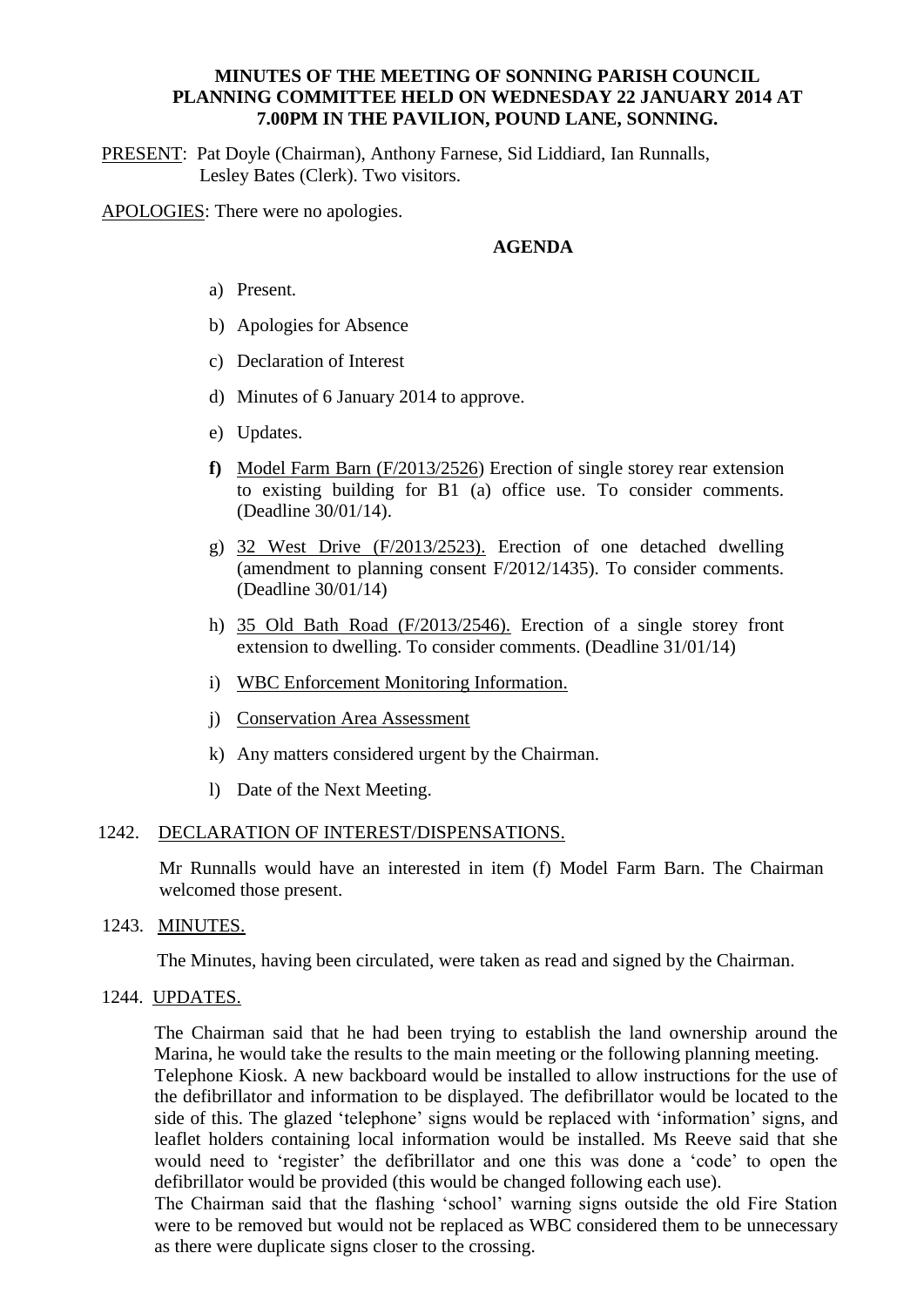### **MINUTES OF THE MEETING OF SONNING PARISH COUNCIL PLANNING COMMITTEE HELD ON WEDNESDAY 22 JANUARY 2014 AT 7.00PM IN THE PAVILION, POUND LANE, SONNING.**

PRESENT: Pat Doyle (Chairman), Anthony Farnese, Sid Liddiard, Ian Runnalls, Lesley Bates (Clerk). Two visitors.

APOLOGIES: There were no apologies.

## **AGENDA**

- a) Present.
- b) Apologies for Absence
- c) Declaration of Interest
- d) Minutes of 6 January 2014 to approve.
- e) Updates.
- **f)** Model Farm Barn (F/2013/2526) Erection of single storey rear extension to existing building for B1 (a) office use. To consider comments. (Deadline 30/01/14).
- g) 32 West Drive (F/2013/2523). Erection of one detached dwelling (amendment to planning consent F/2012/1435). To consider comments. (Deadline 30/01/14)
- h) 35 Old Bath Road (F/2013/2546). Erection of a single storey front extension to dwelling. To consider comments. (Deadline 31/01/14)
- i) WBC Enforcement Monitoring Information.
- j) Conservation Area Assessment
- k) Any matters considered urgent by the Chairman.
- l) Date of the Next Meeting.

#### 1242. DECLARATION OF INTEREST/DISPENSATIONS.

Mr Runnalls would have an interested in item (f) Model Farm Barn. The Chairman welcomed those present.

1243. MINUTES.

The Minutes, having been circulated, were taken as read and signed by the Chairman.

#### 1244. UPDATES.

The Chairman said that he had been trying to establish the land ownership around the Marina, he would take the results to the main meeting or the following planning meeting.

Telephone Kiosk. A new backboard would be installed to allow instructions for the use of the defibrillator and information to be displayed. The defibrillator would be located to the side of this. The glazed 'telephone' signs would be replaced with 'information' signs, and leaflet holders containing local information would be installed. Ms Reeve said that she would need to 'register' the defibrillator and one this was done a 'code' to open the defibrillator would be provided (this would be changed following each use).

The Chairman said that the flashing 'school' warning signs outside the old Fire Station were to be removed but would not be replaced as WBC considered them to be unnecessary as there were duplicate signs closer to the crossing.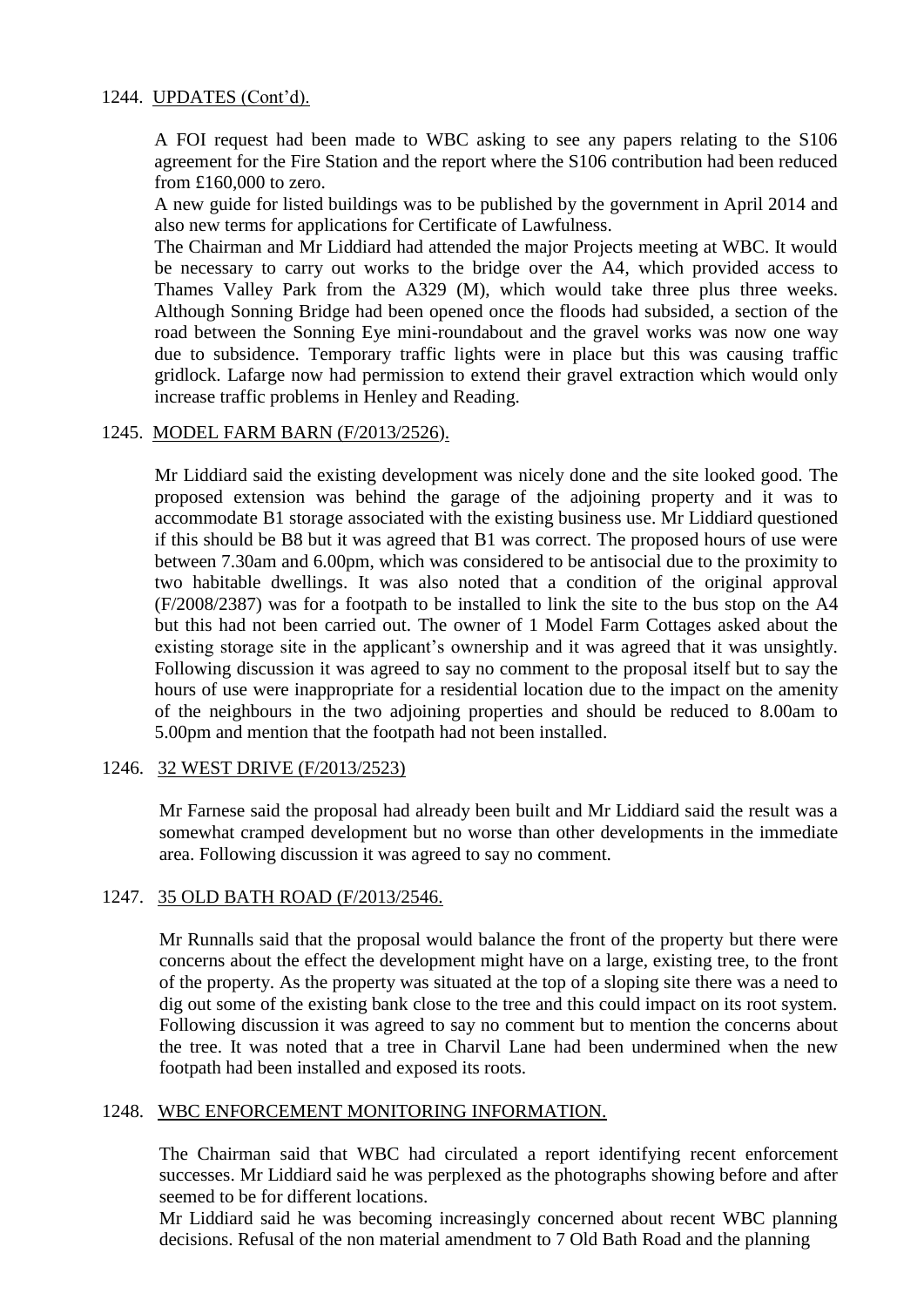# 1244. UPDATES (Cont'd).

A FOI request had been made to WBC asking to see any papers relating to the S106 agreement for the Fire Station and the report where the S106 contribution had been reduced from £160,000 to zero.

A new guide for listed buildings was to be published by the government in April 2014 and also new terms for applications for Certificate of Lawfulness.

The Chairman and Mr Liddiard had attended the major Projects meeting at WBC. It would be necessary to carry out works to the bridge over the A4, which provided access to Thames Valley Park from the A329 (M), which would take three plus three weeks. Although Sonning Bridge had been opened once the floods had subsided, a section of the road between the Sonning Eye mini-roundabout and the gravel works was now one way due to subsidence. Temporary traffic lights were in place but this was causing traffic gridlock. Lafarge now had permission to extend their gravel extraction which would only increase traffic problems in Henley and Reading.

## 1245. MODEL FARM BARN (F/2013/2526).

Mr Liddiard said the existing development was nicely done and the site looked good. The proposed extension was behind the garage of the adjoining property and it was to accommodate B1 storage associated with the existing business use. Mr Liddiard questioned if this should be B8 but it was agreed that B1 was correct. The proposed hours of use were between 7.30am and 6.00pm, which was considered to be antisocial due to the proximity to two habitable dwellings. It was also noted that a condition of the original approval (F/2008/2387) was for a footpath to be installed to link the site to the bus stop on the A4 but this had not been carried out. The owner of 1 Model Farm Cottages asked about the existing storage site in the applicant's ownership and it was agreed that it was unsightly. Following discussion it was agreed to say no comment to the proposal itself but to say the hours of use were inappropriate for a residential location due to the impact on the amenity of the neighbours in the two adjoining properties and should be reduced to 8.00am to 5.00pm and mention that the footpath had not been installed.

### 1246. 32 WEST DRIVE (F/2013/2523)

Mr Farnese said the proposal had already been built and Mr Liddiard said the result was a somewhat cramped development but no worse than other developments in the immediate area. Following discussion it was agreed to say no comment.

### 1247. 35 OLD BATH ROAD (F/2013/2546.

Mr Runnalls said that the proposal would balance the front of the property but there were concerns about the effect the development might have on a large, existing tree, to the front of the property. As the property was situated at the top of a sloping site there was a need to dig out some of the existing bank close to the tree and this could impact on its root system. Following discussion it was agreed to say no comment but to mention the concerns about the tree. It was noted that a tree in Charvil Lane had been undermined when the new footpath had been installed and exposed its roots.

### 1248. WBC ENFORCEMENT MONITORING INFORMATION.

The Chairman said that WBC had circulated a report identifying recent enforcement successes. Mr Liddiard said he was perplexed as the photographs showing before and after seemed to be for different locations.

Mr Liddiard said he was becoming increasingly concerned about recent WBC planning decisions. Refusal of the non material amendment to 7 Old Bath Road and the planning